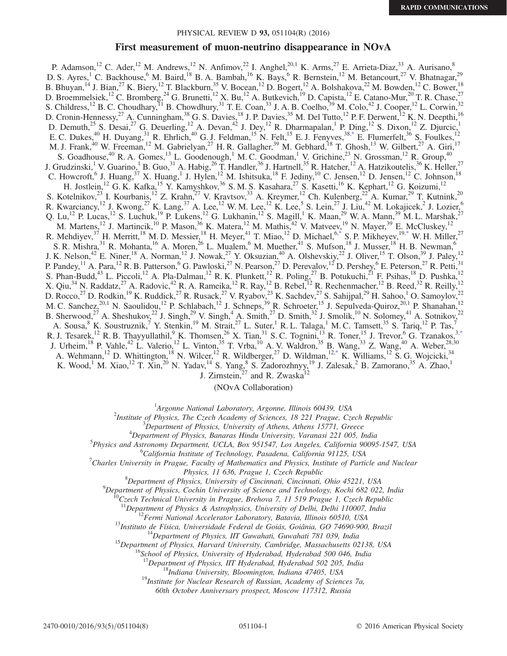### PHYSICAL REVIEW D 93, 051104(R) (2016)

### First measurement of muon-neutrino disappearance in NOvA

P. Adamson,<sup>12</sup> C. Ader,<sup>12</sup> M. Andrews,<sup>12</sup> N. Anfimov,<sup>22</sup> I. Anghel,<sup>20,1</sup> K. Arms,<sup>27</sup> E. Arrieta-Diaz,<sup>33</sup> A. Aurisano,<sup>8</sup> D. S. Ayres, C. Backhouse, M. Baird, <sup>18</sup> B. A. Bambah, <sup>16</sup> K. Bays, <sup>6</sup> R. Bernstein, <sup>12</sup> M. Betancourt, <sup>27</sup> V. Bhatnagar, <sup>29</sup> B. Bhuyan,  $^{14}$  J. Bian,  $^{27}$  K. Biery,  $^{12}$  T. Blackburn,  $^{35}$  V. Bocean,  $^{12}$  D. Bogert,  $^{12}$  A. Bolshakova,  $^{22}$  M. Bowden,  $^{12}$  C. Bower,  $^{18}$ D. Broemmelsiek,<sup>12</sup> C. Bromberg,<sup>24</sup> G. Brunetti,<sup>12</sup> X. Bu,<sup>12</sup> A. Butkevich,<sup>19</sup> D. Capista,<sup>12</sup> E. Catano-Mur,<sup>20</sup> T. R. Chase,<sup>27</sup> S. Childress,<sup>12</sup> B. C. Choudhary,<sup>11</sup> B. Chowdhury,<sup>31</sup> T. E. Coan,<sup>33</sup> J. A. B. Coelho,<sup>39</sup> M. Colo,<sup>42</sup> J. Cooper,<sup>12</sup> L. Corwin,<sup>32</sup> D. Cronin-Hennessy,<sup>27</sup> A. Cunningham,<sup>38</sup> G. S. Davies,<sup>18</sup> J. P. Davies,<sup>35</sup> M. Del Tutto,<sup>12</sup> P. F. Derwent,<sup>12</sup> K. N. Deepthi,<sup>16</sup> D. Demuth,<sup>25</sup> S. Desai,<sup>27</sup> G. Deuerling,<sup>12</sup> A. Devan,<sup>42</sup> J. Dey,<sup>12</sup> R. Dharmapalan,<sup>1</sup> P. Ding,<sup>12</sup> S. Dixon,<sup>12</sup> Z. Djurcic,<sup>1</sup> E. C. Dukes,  $^{40}$  H. Duyang,  $^{31}$  R. Ehrlich,  $^{40}$  G. J. Feldman,  $^{15}$  N. Felt,  $^{15}$  E. J. Fenyves,  $^{38,*}$  $^{38,*}$  $^{38,*}$  E. Flumerfelt,  $^{36}$  S. Foulkes,  $^{12}$ M. J. Frank,<sup>40</sup> W. Freeman,<sup>12</sup> M. Gabrielyan,<sup>27</sup> H. R. Gallagher,<sup>39</sup> M. Gebhard,<sup>18</sup> T. Ghosh,<sup>13</sup> W. Gilbert,<sup>27</sup> A. Giri,<sup>17</sup> S. Goadhouse,  $^{40}$  R. A. Gomes,  $^{13}$  L. Goodenough,  $^{1}$  M. C. Goodman,  $^{1}$  V. Grichine,  $^{23}$  N. Grossman,  $^{12}$  R. Group,  $^{40}$ J. Grudzinski,<sup>1</sup> V. Guarino,<sup>1</sup> B. Guo,<sup>31</sup> A. Habig,<sup>26</sup> T. Handler,<sup>36</sup> J. Hartnell,<sup>35</sup> R. Hatcher,<sup>12</sup> A. Hatzikoutelis,<sup>36</sup> K. Heller,<sup>27</sup> C. Howcroft, <sup>6</sup> J. Huang, <sup>37</sup> X. Huang, <sup>1</sup> J. Hylen, <sup>12</sup> M. Ishitsuka, <sup>18</sup> F. Jediny, <sup>10</sup> C. Jensen, <sup>12</sup> D. Jensen, <sup>12</sup> C. Johnson, <sup>18</sup> H. Jostlein,<sup>12</sup> G. K. Kafka,<sup>15</sup> Y. Kamyshkov,<sup>36</sup> S. M. S. Kasahara,<sup>27</sup> S. Kasetti,<sup>16</sup> K. Kephart,<sup>12</sup> G. Koizumi,<sup>12</sup> S. Kotelnikov,  $^{23}$  I. Kourbanis,  $^{12}$  Z. Krahn,  $^{27}$  V. Kravtsov,  $^{33}$  A. Kreymer,  $^{12}$  Ch. Kulenberg,  $^{22}$  A. Kumar,  $^{29}$  T. Kutnink,  $^{20}$ R. Kwarciancy,<sup>12</sup> J. Kwong,<sup>27</sup> K. Lang,<sup>37</sup> A. Lee,<sup>12</sup> W. M. Lee,<sup>12</sup> K. Lee,<sup>5</sup> S. Lein,<sup>27</sup> J. Liu,<sup>42</sup> M. Lokajicek,<sup>2</sup> J. Lozier,<sup>6</sup> Q. Lu,<sup>12</sup> P. Lucas,<sup>12</sup> S. Luchuk,<sup>19</sup> P. Lukens,<sup>12</sup> G. Lukhanin,<sup>12</sup> S. Magill,<sup>1</sup> K. Maan,<sup>29</sup> W. A. Mann,<sup>39</sup> M. L. Marshak,<sup>27</sup> M. Martens,<sup>12</sup> J. Martincik,<sup>10</sup> P. Mason,<sup>36</sup> K. Matera,<sup>12</sup> M. Mathis,<sup>42</sup> V. Matveev,<sup>19</sup> N. Mayer,<sup>39</sup> E. McCluskey,<sup>12</sup> R. Mehdiyev,  $^{37}$  H. Merritt,  $^{18}$  M. D. Messier,  $^{18}$  H. Meyer,  $^{41}$  T. Miao,  $^{12}$  D. Michael,  $^{6,*}$  $^{6,*}$  $^{6,*}$  S. P. Mikheyev,  $^{19,*}$  $^{19,*}$  $^{19,*}$  W. H. Miller,  $^{27}$ S. R. Mishra,  $31$  R. Mohanta,  $16$  A. Moren,  $26$  L. Mualem,  $6$  M. Muether,  $41$  S. Mufson,  $18$  J. Musser,  $18$  H. B. Newman,  $6$ J. K. Nelson,<sup>42</sup> E. Niner,<sup>18</sup> A. Norman,<sup>12</sup> J. Nowak,<sup>27</sup> Y. Oksuzian,<sup>40</sup> A. Olshevskiy,<sup>22</sup> J. Oliver,<sup>15</sup> T. Olson,<sup>39</sup> J. Paley,<sup>12</sup> P. Pandey,  $^{11}$  A. Para,  $^{12}$  R. B. Patterson, <sup>6</sup> G. Pawloski,  $^{27}$  N. Pearson,  $^{27}$  D. Perevalov,  $^{12}$  D. Pershey,  $^{6}$  E. Peterson,  $^{27}$  R. Petti,  $^{31}$ S. Phan-Budd,<sup>43</sup> L. Piccoli,<sup>12</sup> A. Pla-Dalmau,<sup>12</sup> R. K. Plunkett,<sup>12</sup> R. Poling,<sup>27</sup> B. Potukuchi,<sup>21</sup> F. Psihas,<sup>18</sup> D. Pushka,<sup>12</sup> X. Qiu,<sup>34</sup> N. Raddatz,<sup>27</sup> A. Radovic,<sup>42</sup> R. A. Rameika,<sup>12</sup> R. Ray,<sup>12</sup> B. Rebel,<sup>12</sup> R. Rechenmacher,<sup>12</sup> B. Reed,<sup>32</sup> R. Reilly,<sup>12</sup> D. Rocco,<sup>27</sup> D. Rodkin,<sup>19</sup> K. Ruddick,<sup>27</sup> R. Rusack,<sup>27</sup> V. Ryabov,<sup>23</sup> K. Sachdev,<sup>27</sup> S. Sahijpal,<sup>29</sup> H. Sahoo,<sup>1</sup> O. Samoylov,<sup>22</sup> M. C. Sanchez,  $^{20,1}$  N. Saoulidou,  $^{12}$  P. Schlabach,  $^{12}$  J. Schneps,  $^{39}$  R. Schroeter,  $^{15}$  J. Sepulveda-Quiroz,  $^{20,1}$  P. Shanahan,  $^{12}$ B. Sherwood,<sup>27</sup> A. Sheshukov,<sup>22</sup> J. Singh,<sup>29</sup> V. Singh,<sup>4</sup> A. Smith,<sup>27</sup> D. Smith,<sup>32</sup> J. Smolik,<sup>10</sup> N. Solomey,<sup>41</sup> A. Sotnikov,<sup>22</sup> A. Sousa,  $8$  K. Soustruznik,  $7$  Y. Stenkin,  $19$  M. Strait,  $27$  L. Suter,  $1$  R. L. Talaga,  $1$  M. C. Tamsett,  $35$  S. Tariq,  $12$  P. Tas,  $7$ R. J. Tesarek,<sup>12</sup> R. B. Thayyullathil,<sup>9</sup> K. Thomsen,<sup>26</sup> X. Tian,<sup>31</sup> S. C. Tognini,<sup>13</sup> R. Toner,<sup>15</sup> J. Trevor,<sup>6</sup> G. Tzanakos,<sup>3[,\\*](#page-1-0)</sup> J. Urheim,<sup>18</sup> P. Vahle,<sup>42</sup> L. Valerio,<sup>12</sup> L. Vinton,<sup>35</sup> T. Vrba,<sup>10</sup> A. V. Waldron,<sup>35</sup> B. Wang,<sup>33</sup> Z. Wang,<sup>40</sup> A. Weber,<sup>28,30</sup> A. Wehmann,<sup>12</sup> D. Whittington,<sup>18</sup> N. Wilcer,<sup>12</sup> R. Wildberger,<sup>27</sup> D. Wildman,<sup>1[2,\\*](#page-1-0)</sup> K. Williams,<sup>12</sup> S. G. Wojcicki,<sup>34</sup> K. Wood,<sup>1</sup> M. Xiao,<sup>12</sup> T. Xin,<sup>20</sup> N. Yadav,<sup>14</sup> S. Yang,<sup>8</sup> S. Zadorozhnyy,<sup>19</sup> J. Zalesak,<sup>2</sup> B. Zamorano,<sup>35</sup> A. Zhao,<sup>1</sup> J. Zirnstein, $^{27}$  and R. Zwaska<sup>12</sup>

(NOvA Collaboration)

<span id="page-0-0"></span><sup>1</sup>Argonne National Laboratory, Argonne, Illinois 60439, USA<br><sup>2</sup>Institute of Physics. The Creek Asedemy of Sciences, 18,221 Preque Cr.

<sup>2</sup> Institute of Physics, The Czech Academy of Sciences, 18 221 Prague, Czech Republic

 $<sup>3</sup>$ Department of Physics, University of Athens, Athens 15771, Greece</sup>

 $^{4}$ Department of Physics, Banaras Hindu University, Varanasi 221 005, India

Physics and Astronomy Department, UCLA, Box 951547, Los Angeles, California 90095-1547, USA

<sup>6</sup>California Institute of Technology, Pasadena, California 91125, USA

 $\sigma$ <sup>7</sup>Charles University in Prague, Faculty of Mathematics and Physics, Institute of Particle and Nuclear

Physics, 11 636, Prague 1, Czech Republic

Department of Physics, University of Cincinnati, Cincinnati, Ohio 45221, USA <sup>9</sup>

<sup>9</sup>Department of Physics, Cochin University of Science and Technology, Kochi 682 022, India <sup>10</sup>Czech Technical University in Prague, Brehova 7, 11 519 Prague 1, Czech Republic

<sup>11</sup>Department of Physics & Astrophysics, University of Delhi, Delhi 110007, India<br><sup>12</sup>Fermi National Accelerator Laboratory, Batavia, Illinois 60510, USA<br><sup>13</sup>Instituto de Física, Universidade Federal de Goiás, Goiânia, G

<sup>17</sup>Department of Physics, IIT Hyderabad, Hyderabad 502 205, India <sup>18</sup>Indiana University, Bloomington, Indiana 47405, USA <sup>19</sup>Institute for Nuclear Research of Russian, Academy of Sciences 7a,

60th October Anniversary prospect, Moscow 117312, Russia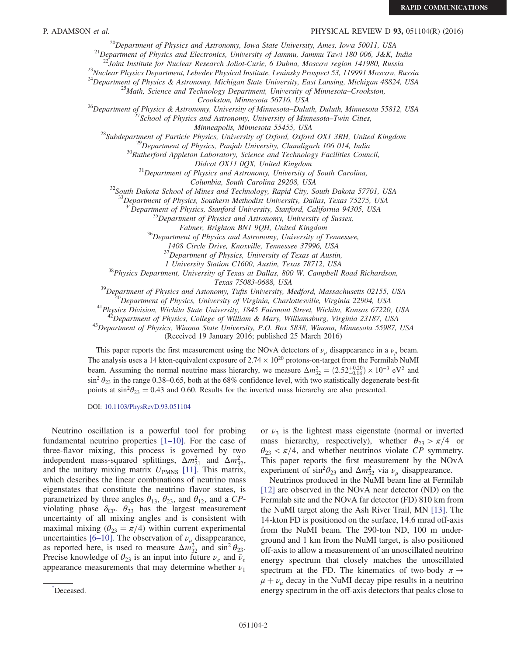## P. ADAMSON et al. **PHYSICAL REVIEW D 93,** 051104(R) (2016)

<sup>20</sup>Department of Physics and Astronomy, Iowa State University, Ames, Iowa 50011, USA<br><sup>21</sup>Department of Physics and Electronics, University of Jammu, Jammu Tawi 180 006, J&K, India<br><sup>22</sup>Joint Institute for Nuclear Research

<sup>23</sup>Nuclear Physics Department, Lebedev Physical Institute, Leninsky Prospect 53, 119991 Moscow, Russia

<sup>24</sup>Department of Physics & Astronomy, Michigan State University, East Lansing, Michigan 48824, USA <sup>25</sup>Math, Science and Technology Department, University of Minnesota–Crookston,

<sup>26</sup>Department of Physics & Astronomy, University of Minnesota–Duluth, Duluth, Minnesota 55812, USA<br><sup>25</sup>School of Physics and Astronomy, University of Minnesota–Twin Cities,

Minneapolis, Minnesota 55455, USA<br><sup>28</sup>Subdepartment of Particle Physics, University of Oxford, Oxford OX1 3RH, United Kingdom<br><sup>29</sup>Department of Physics, Panjab University, Chandigarh 106 014, India<br><sup>30</sup>Rutherford Appleton

 $31$ Department of Physics and Astronomy, University of South Carolina,

Columbia, South Carolina 29208, USA<br><sup>32</sup>South Dakota School of Mines and Technology, Rapid City, South Dakota 57701, USA

<sup>33</sup>Department of Physics, Southern Methodist University, Dallas, Texas 75275, USA

 $34$ Department of Physics, Stanford University, Stanford, California 94305, USA  $35$ Department of Physics and Astronomy, University of Sussex,

Falmer, Brighton BN1 9QH, United Kingdom<br><sup>36</sup>Department of Physics and Astronomy, University of Tennessee,

1408 Circle Drive, Knoxville, Tennessee 37996, USA

 $37$ Department of Physics, University of Texas at Austin,

<sup>38</sup> 38 <sup>38</sup> 38 <sup>38</sup> Physics Department, University Station C1600, Austin, Texas 78712, USA<br><sup>38</sup> Physics Department, University of Texas at Dallas, 800 W. Campbell Road Richardson,

Texas 75083-0688, USA<br><sup>39</sup>Department of Physics and Astonomy, Tufts University, Medford, Massachusetts 02155, USA<br><sup>40</sup>Department of Physics, University of Virginia, Charlottesville, Virginia 22904, USA<br><sup>41</sup>Physics Division

(Received 19 January 2016; published 25 March 2016)

This paper reports the first measurement using the NOvA detectors of  $\nu_{\mu}$  disappearance in a  $\nu_{\mu}$  beam. The analysis uses a 14 kton-equivalent exposure of  $2.74 \times 10^{20}$  protons-on-target from the Fermilab NuMI beam. Assuming the normal neutrino mass hierarchy, we measure  $\Delta m_{32}^2 = (2.52_{-0.18}^{+0.20}) \times 10^{-3} \text{ eV}^2$  and  $\sin^2 \theta_{23}$  in the range 0.38–0.65, both at the 68% confidence level, with two statistically degenerate best-fit points at  $\sin^2\theta_{23} = 0.43$  and 0.60. Results for the inverted mass hierarchy are also presented.

DOI: [10.1103/PhysRevD.93.051104](http://dx.doi.org/10.1103/PhysRevD.93.051104)

Neutrino oscillation is a powerful tool for probing fundamental neutrino properties [1–[10\].](#page-6-0) For the case of three-flavor mixing, this process is governed by two independent mass-squared splittings,  $\Delta m_{21}^2$  and  $\Delta m_{32}^2$ , and the unitary mixing matrix  $U_{PMNS}$  [\[11\].](#page-6-1) This matrix, which describes the linear combinations of neutrino mass eigenstates that constitute the neutrino flavor states, is parametrized by three angles  $\theta_{13}$ ,  $\theta_{23}$ , and  $\theta_{12}$ , and a CPviolating phase  $\delta_{\text{CP}}$ .  $\theta_{23}$  has the largest measurement uncertainty of all mixing angles and is consistent with maximal mixing ( $\theta_{23} = \pi/4$ ) within current experimental uncertainties [6–[10\].](#page-6-2) The observation of  $\nu_{\mu}$  disappearance, as reported here, is used to measure  $\Delta m_{32}^2$  and  $\sin^2 \theta_{23}$ . Precise knowledge of  $\theta_{23}$  is an input into future  $\nu_e$  and  $\bar{\nu}_e$ appearance measurements that may determine whether  $\nu_1$ 

or  $\nu_3$  is the lightest mass eigenstate (normal or inverted mass hierarchy, respectively), whether  $\theta_{23} > \pi/4$  or  $\theta_{23} < \pi/4$ , and whether neutrinos violate CP symmetry. This paper reports the first measurement by the NOvA experiment of  $\sin^2\theta_{23}$  and  $\Delta m_{32}^2$  via  $\nu_\mu$  disappearance.

Neutrinos produced in the NuMI beam line at Fermilab [\[12\]](#page-7-0) are observed in the NOvA near detector (ND) on the Fermilab site and the NOvA far detector (FD) 810 km from the NuMI target along the Ash River Trail, MN [\[13\].](#page-7-1) The 14-kton FD is positioned on the surface, 14.6 mrad off-axis from the NuMI beam. The 290-ton ND, 100 m underground and 1 km from the NuMI target, is also positioned off-axis to allow a measurement of an unoscillated neutrino energy spectrum that closely matches the unoscillated spectrum at the FD. The kinematics of two-body  $\pi \rightarrow$  $\mu + \nu_{\mu}$  decay in the NuMI decay pipe results in a neutrino energy spectrum in the off-axis detectors that peaks close to [\\*](#page-0-0)

<span id="page-1-0"></span>Deceased.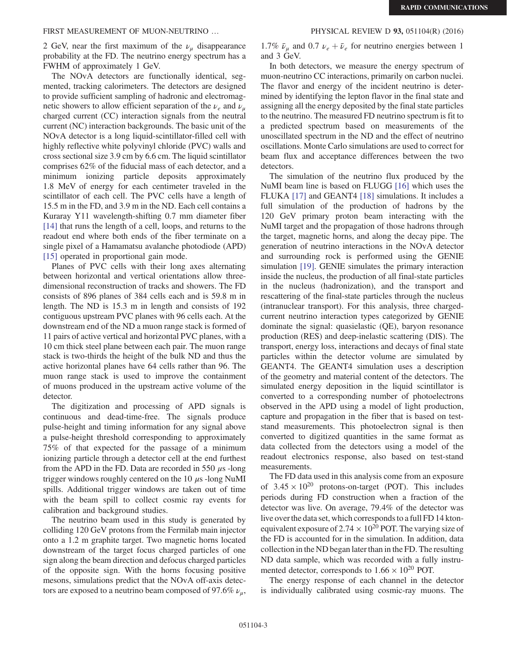# FIRST MEASUREMENT OF MUON-NEUTRINO ... PHYSICAL REVIEW D 93, 051104(R) (2016)

2 GeV, near the first maximum of the  $\nu_{\mu}$  disappearance probability at the FD. The neutrino energy spectrum has a FWHM of approximately 1 GeV.

The NOvA detectors are functionally identical, segmented, tracking calorimeters. The detectors are designed to provide sufficient sampling of hadronic and electromagnetic showers to allow efficient separation of the  $\nu_e$  and  $\nu_u$ charged current (CC) interaction signals from the neutral current (NC) interaction backgrounds. The basic unit of the NOvA detector is a long liquid-scintillator-filled cell with highly reflective white polyvinyl chloride (PVC) walls and cross sectional size 3.9 cm by 6.6 cm. The liquid scintillator comprises 62% of the fiducial mass of each detector, and a minimum ionizing particle deposits approximately 1.8 MeV of energy for each centimeter traveled in the scintillator of each cell. The PVC cells have a length of 15.5 m in the FD, and 3.9 m in the ND. Each cell contains a Kuraray Y11 wavelength-shifting 0.7 mm diameter fiber [\[14\]](#page-7-2) that runs the length of a cell, loops, and returns to the readout end where both ends of the fiber terminate on a single pixel of a Hamamatsu avalanche photodiode (APD) [\[15\]](#page-7-3) operated in proportional gain mode.

Planes of PVC cells with their long axes alternating between horizontal and vertical orientations allow threedimensional reconstruction of tracks and showers. The FD consists of 896 planes of 384 cells each and is 59.8 m in length. The ND is 15.3 m in length and consists of 192 contiguous upstream PVC planes with 96 cells each. At the downstream end of the ND a muon range stack is formed of 11 pairs of active vertical and horizontal PVC planes, with a 10 cm thick steel plane between each pair. The muon range stack is two-thirds the height of the bulk ND and thus the active horizontal planes have 64 cells rather than 96. The muon range stack is used to improve the containment of muons produced in the upstream active volume of the detector.

The digitization and processing of APD signals is continuous and dead-time-free. The signals produce pulse-height and timing information for any signal above a pulse-height threshold corresponding to approximately 75% of that expected for the passage of a minimum ionizing particle through a detector cell at the end furthest from the APD in the FD. Data are recorded in 550  $\mu$ s -long trigger windows roughly centered on the 10  $\mu$ s -long NuMI spills. Additional trigger windows are taken out of time with the beam spill to collect cosmic ray events for calibration and background studies.

The neutrino beam used in this study is generated by colliding 120 GeV protons from the Fermilab main injector onto a 1.2 m graphite target. Two magnetic horns located downstream of the target focus charged particles of one sign along the beam direction and defocus charged particles of the opposite sign. With the horns focusing positive mesons, simulations predict that the NOvA off-axis detectors are exposed to a neutrino beam composed of 97.6%  $\nu_{\mu}$ ,

1.7%  $\bar{\nu}_\mu$  and 0.7  $\nu_e + \bar{\nu}_e$  for neutrino energies between 1 and 3 GeV.

In both detectors, we measure the energy spectrum of muon-neutrino CC interactions, primarily on carbon nuclei. The flavor and energy of the incident neutrino is determined by identifying the lepton flavor in the final state and assigning all the energy deposited by the final state particles to the neutrino. The measured FD neutrino spectrum is fit to a predicted spectrum based on measurements of the unoscillated spectrum in the ND and the effect of neutrino oscillations. Monte Carlo simulations are used to correct for beam flux and acceptance differences between the two detectors.

The simulation of the neutrino flux produced by the NuMI beam line is based on FLUGG [\[16\]](#page-7-4) which uses the FLUKA [\[17\]](#page-7-5) and GEANT4 [\[18\]](#page-7-6) simulations. It includes a full simulation of the production of hadrons by the 120 GeV primary proton beam interacting with the NuMI target and the propagation of those hadrons through the target, magnetic horns, and along the decay pipe. The generation of neutrino interactions in the NOvA detector and surrounding rock is performed using the GENIE simulation [\[19\].](#page-7-7) GENIE simulates the primary interaction inside the nucleus, the production of all final-state particles in the nucleus (hadronization), and the transport and rescattering of the final-state particles through the nucleus (intranuclear transport). For this analysis, three chargedcurrent neutrino interaction types categorized by GENIE dominate the signal: quasielastic (QE), baryon resonance production (RES) and deep-inelastic scattering (DIS). The transport, energy loss, interactions and decays of final state particles within the detector volume are simulated by GEANT4. The GEANT4 simulation uses a description of the geometry and material content of the detectors. The simulated energy deposition in the liquid scintillator is converted to a corresponding number of photoelectrons observed in the APD using a model of light production, capture and propagation in the fiber that is based on teststand measurements. This photoelectron signal is then converted to digitized quantities in the same format as data collected from the detectors using a model of the readout electronics response, also based on test-stand measurements.

The FD data used in this analysis come from an exposure of  $3.45 \times 10^{20}$  protons-on-target (POT). This includes periods during FD construction when a fraction of the detector was live. On average, 79.4% of the detector was live over the data set, which corresponds to a full FD 14 ktonequivalent exposure of  $2.74 \times 10^{20}$  POT. The varying size of the FD is accounted for in the simulation. In addition, data collection in the ND began later than in the FD. The resulting ND data sample, which was recorded with a fully instrumented detector, corresponds to  $1.66 \times 10^{20}$  POT.

The energy response of each channel in the detector is individually calibrated using cosmic-ray muons. The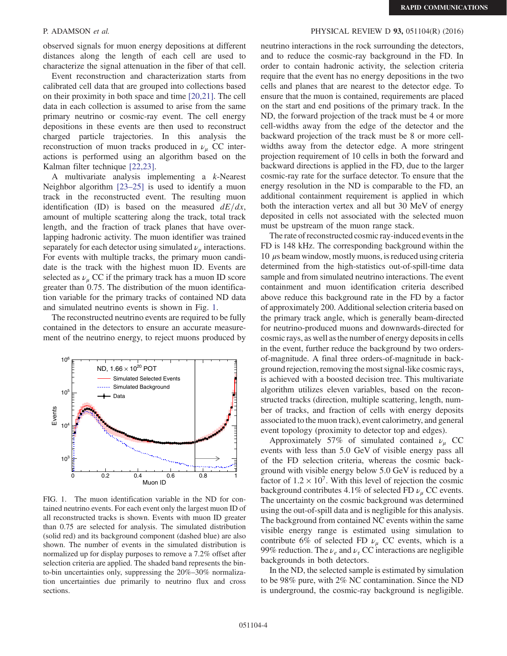observed signals for muon energy depositions at different distances along the length of each cell are used to characterize the signal attenuation in the fiber of that cell.

Event reconstruction and characterization starts from calibrated cell data that are grouped into collections based on their proximity in both space and time [\[20,21\].](#page-7-8) The cell data in each collection is assumed to arise from the same primary neutrino or cosmic-ray event. The cell energy depositions in these events are then used to reconstruct charged particle trajectories. In this analysis the reconstruction of muon tracks produced in  $\nu_{\mu}$  CC interactions is performed using an algorithm based on the Kalman filter technique [\[22,23\]](#page-7-9).

A multivariate analysis implementing a k-Nearest Neighbor algorithm [\[23](#page-7-10)–25] is used to identify a muon track in the reconstructed event. The resulting muon identification (ID) is based on the measured  $dE/dx$ , amount of multiple scattering along the track, total track length, and the fraction of track planes that have overlapping hadronic activity. The muon identifier was trained separately for each detector using simulated  $\nu_{\mu}$  interactions. For events with multiple tracks, the primary muon candidate is the track with the highest muon ID. Events are selected as  $\nu_{\mu}$  CC if the primary track has a muon ID score greater than 0.75. The distribution of the muon identification variable for the primary tracks of contained ND data and simulated neutrino events is shown in Fig. [1](#page-3-0).

The reconstructed neutrino events are required to be fully contained in the detectors to ensure an accurate measurement of the neutrino energy, to reject muons produced by

<span id="page-3-0"></span>

FIG. 1. The muon identification variable in the ND for contained neutrino events. For each event only the largest muon ID of all reconstructed tracks is shown. Events with muon ID greater than 0.75 are selected for analysis. The simulated distribution (solid red) and its background component (dashed blue) are also shown. The number of events in the simulated distribution is normalized up for display purposes to remove a 7.2% offset after selection criteria are applied. The shaded band represents the binto-bin uncertainties only, suppressing the 20%–30% normalization uncertainties due primarily to neutrino flux and cross sections.

# P. ADAMSON et al. PHYSICAL REVIEW D 93, 051104(R) (2016)

neutrino interactions in the rock surrounding the detectors, and to reduce the cosmic-ray background in the FD. In order to contain hadronic activity, the selection criteria require that the event has no energy depositions in the two cells and planes that are nearest to the detector edge. To ensure that the muon is contained, requirements are placed on the start and end positions of the primary track. In the ND, the forward projection of the track must be 4 or more cell-widths away from the edge of the detector and the backward projection of the track must be 8 or more cellwidths away from the detector edge. A more stringent projection requirement of 10 cells in both the forward and backward directions is applied in the FD, due to the larger cosmic-ray rate for the surface detector. To ensure that the energy resolution in the ND is comparable to the FD, an additional containment requirement is applied in which both the interaction vertex and all but 30 MeV of energy deposited in cells not associated with the selected muon must be upstream of the muon range stack.

The rate of reconstructed cosmic ray-induced events in the FD is 148 kHz. The corresponding background within the  $10 \mu s$  beam window, mostly muons, is reduced using criteria determined from the high-statistics out-of-spill-time data sample and from simulated neutrino interactions. The event containment and muon identification criteria described above reduce this background rate in the FD by a factor of approximately 200. Additional selection criteria based on the primary track angle, which is generally beam-directed for neutrino-produced muons and downwards-directed for cosmic rays, as well as the number of energy deposits in cells in the event, further reduce the background by two ordersof-magnitude. A final three orders-of-magnitude in background rejection, removing the most signal-like cosmic rays, is achieved with a boosted decision tree. This multivariate algorithm utilizes eleven variables, based on the reconstructed tracks (direction, multiple scattering, length, number of tracks, and fraction of cells with energy deposits associated to the muon track), event calorimetry, and general event topology (proximity to detector top and edges).

Approximately 57% of simulated contained  $\nu_{\mu}$  CC events with less than 5.0 GeV of visible energy pass all of the FD selection criteria, whereas the cosmic background with visible energy below 5.0 GeV is reduced by a factor of  $1.2 \times 10^7$ . With this level of rejection the cosmic background contributes 4.1% of selected FD  $\nu_u$  CC events. The uncertainty on the cosmic background was determined using the out-of-spill data and is negligible for this analysis. The background from contained NC events within the same visible energy range is estimated using simulation to contribute 6% of selected FD  $\nu_{\mu}$  CC events, which is a 99% reduction. The  $\nu_e$  and  $\nu_\tau$  CC interactions are negligible backgrounds in both detectors.

In the ND, the selected sample is estimated by simulation to be 98% pure, with 2% NC contamination. Since the ND is underground, the cosmic-ray background is negligible.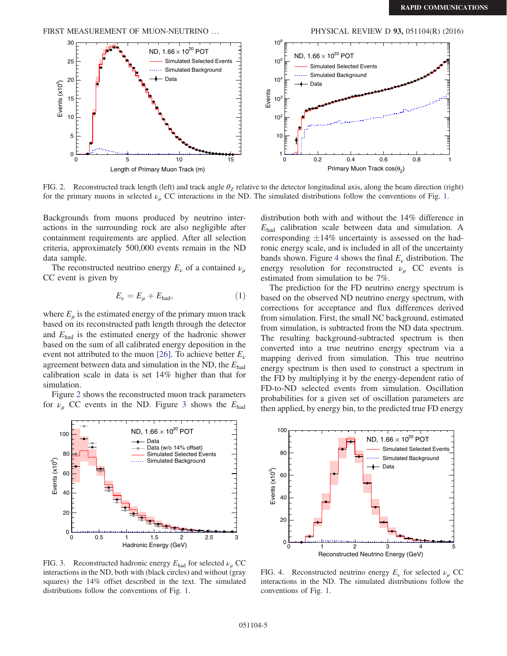<span id="page-4-0"></span>FIRST MEASUREMENT OF MUON-NEUTRINO ... PHYSICAL REVIEW D 93, 051104(R) (2016)



FIG. 2. Reconstructed track length (left) and track angle  $\theta_Z$  relative to the detector longitudinal axis, along the beam direction (right) for the primary muons in selected  $\nu_{\mu}$  CC interactions in the ND. The simulated distributions follow the conventions of Fig. [1](#page-3-0).

Backgrounds from muons produced by neutrino interactions in the surrounding rock are also negligible after containment requirements are applied. After all selection criteria, approximately 500,000 events remain in the ND data sample.

The reconstructed neutrino energy  $E_{\nu}$  of a contained  $\nu_{\mu}$ CC event is given by

$$
E_{\nu}=E_{\mu}+E_{\rm had},\eqno(1)
$$

where  $E_u$  is the estimated energy of the primary muon track based on its reconstructed path length through the detector and  $E_{\text{had}}$  is the estimated energy of the hadronic shower based on the sum of all calibrated energy deposition in the event not attributed to the muon [\[26\]](#page-7-11). To achieve better  $E_{\nu}$ agreement between data and simulation in the ND, the  $E_{\text{had}}$ calibration scale in data is set 14% higher than that for simulation.

Figure [2](#page-4-0) shows the reconstructed muon track parameters for  $\nu_{\mu}$  CC events in the ND. Figure [3](#page-4-1) shows the  $E_{\text{had}}$ 

<span id="page-4-1"></span>

FIG. 3. Reconstructed hadronic energy  $E_{\text{had}}$  for selected  $\nu_u$  CC interactions in the ND, both with (black circles) and without (gray squares) the 14% offset described in the text. The simulated distributions follow the conventions of Fig. [1.](#page-3-0)

distribution both with and without the 14% difference in  $E_{\text{had}}$  calibration scale between data and simulation. A corresponding  $\pm 14\%$  uncertainty is assessed on the hadronic energy scale, and is included in all of the uncertainty bands shown. Figure [4](#page-4-2) shows the final  $E<sub>\nu</sub>$  distribution. The energy resolution for reconstructed  $\nu_{\mu}$  CC events is estimated from simulation to be 7%.

The prediction for the FD neutrino energy spectrum is based on the observed ND neutrino energy spectrum, with corrections for acceptance and flux differences derived from simulation. First, the small NC background, estimated from simulation, is subtracted from the ND data spectrum. The resulting background-subtracted spectrum is then converted into a true neutrino energy spectrum via a mapping derived from simulation. This true neutrino energy spectrum is then used to construct a spectrum in the FD by multiplying it by the energy-dependent ratio of FD-to-ND selected events from simulation. Oscillation probabilities for a given set of oscillation parameters are then applied, by energy bin, to the predicted true FD energy

<span id="page-4-2"></span>

FIG. 4. Reconstructed neutrino energy  $E_{\nu}$  for selected  $\nu_{\nu}$  CC interactions in the ND. The simulated distributions follow the conventions of Fig. [1.](#page-3-0)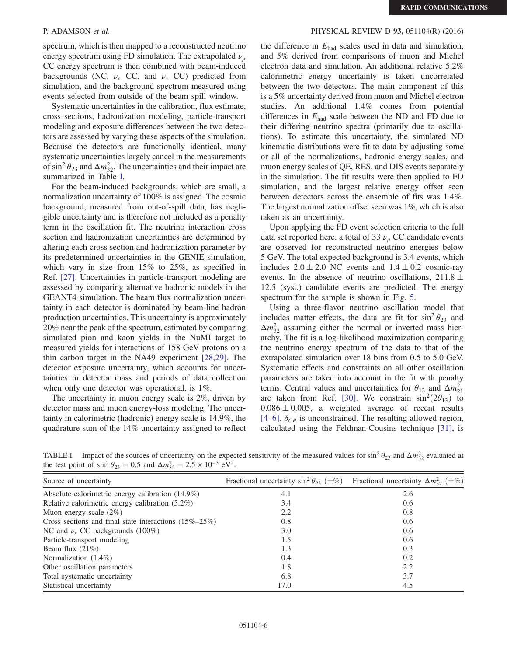spectrum, which is then mapped to a reconstructed neutrino energy spectrum using FD simulation. The extrapolated  $\nu_{\mu}$ CC energy spectrum is then combined with beam-induced backgrounds (NC,  $\nu_e$  CC, and  $\nu_\tau$  CC) predicted from simulation, and the background spectrum measured using events selected from outside of the beam spill window.

Systematic uncertainties in the calibration, flux estimate, cross sections, hadronization modeling, particle-transport modeling and exposure differences between the two detectors are assessed by varying these aspects of the simulation. Because the detectors are functionally identical, many systematic uncertainties largely cancel in the measurements of sin<sup>2</sup>  $\theta_{23}$  and  $\Delta m_{32}^2$ . The uncertainties and their impact are summarized in Table [I.](#page-5-0)

For the beam-induced backgrounds, which are small, a normalization uncertainty of 100% is assigned. The cosmic background, measured from out-of-spill data, has negligible uncertainty and is therefore not included as a penalty term in the oscillation fit. The neutrino interaction cross section and hadronization uncertainties are determined by altering each cross section and hadronization parameter by its predetermined uncertainties in the GENIE simulation, which vary in size from 15% to 25%, as specified in Ref. [\[27\]](#page-7-12). Uncertainties in particle-transport modeling are assessed by comparing alternative hadronic models in the GEANT4 simulation. The beam flux normalization uncertainty in each detector is dominated by beam-line hadron production uncertainties. This uncertainty is approximately 20% near the peak of the spectrum, estimated by comparing simulated pion and kaon yields in the NuMI target to measured yields for interactions of 158 GeV protons on a thin carbon target in the NA49 experiment [\[28,29\].](#page-7-13) The detector exposure uncertainty, which accounts for uncertainties in detector mass and periods of data collection when only one detector was operational, is 1%.

The uncertainty in muon energy scale is 2%, driven by detector mass and muon energy-loss modeling. The uncertainty in calorimetric (hadronic) energy scale is 14.9%, the quadrature sum of the 14% uncertainty assigned to reflect

## P. ADAMSON et al. PHYSICAL REVIEW D 93, 051104(R) (2016)

the difference in  $E_{\text{had}}$  scales used in data and simulation, and 5% derived from comparisons of muon and Michel electron data and simulation. An additional relative 5.2% calorimetric energy uncertainty is taken uncorrelated between the two detectors. The main component of this is a 5% uncertainty derived from muon and Michel electron studies. An additional 1.4% comes from potential differences in  $E_{\text{had}}$  scale between the ND and FD due to their differing neutrino spectra (primarily due to oscillations). To estimate this uncertainty, the simulated ND kinematic distributions were fit to data by adjusting some or all of the normalizations, hadronic energy scales, and muon energy scales of QE, RES, and DIS events separately in the simulation. The fit results were then applied to FD simulation, and the largest relative energy offset seen between detectors across the ensemble of fits was 1.4%. The largest normalization offset seen was 1%, which is also taken as an uncertainty.

Upon applying the FD event selection criteria to the full data set reported here, a total of 33  $\nu_{\mu}$  CC candidate events are observed for reconstructed neutrino energies below 5 GeV. The total expected background is 3.4 events, which includes  $2.0 \pm 2.0$  NC events and  $1.4 \pm 0.2$  cosmic-ray events. In the absence of neutrino oscillations,  $211.8 \pm 0.005$ 12.5 (syst.) candidate events are predicted. The energy spectrum for the sample is shown in Fig. [5](#page-6-3).

Using a three-flavor neutrino oscillation model that includes matter effects, the data are fit for  $\sin^2 \theta_{23}$  and  $\Delta m_{32}^2$  assuming either the normal or inverted mass hierarchy. The fit is a log-likelihood maximization comparing the neutrino energy spectrum of the data to that of the extrapolated simulation over 18 bins from 0.5 to 5.0 GeV. Systematic effects and constraints on all other oscillation parameters are taken into account in the fit with penalty terms. Central values and uncertainties for  $\theta_{12}$  and  $\Delta m_{21}^2$ are taken from Ref. [\[30\]](#page-7-14). We constrain  $\sin^2(2\theta_{13})$  to  $0.086 \pm 0.005$ , a weighted average of recent results [\[4](#page-6-4)–6].  $\delta_{CP}$  is unconstrained. The resulting allowed region, calculated using the Feldman-Cousins technique [\[31\],](#page-7-15) is

<span id="page-5-0"></span>TABLE I. Impact of the sources of uncertainty on the expected sensitivity of the measured values for sin<sup>2</sup>  $\theta_{23}$  and  $\Delta m_{32}^2$  evaluated at the test point of  $\sin^2 \theta_{23} = 0.5$  and  $\Delta m_{32}^2 = 2.5 \times 10^{-3} \text{ eV}^2$ .

| Source of uncertainty                                       | Fractional uncertainty $\sin^2 \theta_{23}$ ( $\pm \%$ ) Fractional uncertainty $\Delta m_{32}^2$ ( $\pm \%$ ) |     |
|-------------------------------------------------------------|----------------------------------------------------------------------------------------------------------------|-----|
| Absolute calorimetric energy calibration $(14.9\%)$         | 4.1                                                                                                            | 2.6 |
| Relative calorimetric energy calibration $(5.2\%)$          | 3.4                                                                                                            | 0.6 |
| Muon energy scale $(2\%)$                                   | 2.2                                                                                                            | 0.8 |
| Cross sections and final state interactions $(15\% - 25\%)$ | 0.8                                                                                                            | 0.6 |
| NC and $\nu_{\tau}$ CC backgrounds (100%)                   | 3.0                                                                                                            | 0.6 |
| Particle-transport modeling                                 | 1.5                                                                                                            | 0.6 |
| Beam flux $(21\%)$                                          | 1.3                                                                                                            | 0.3 |
| Normalization $(1.4\%)$                                     | 0.4                                                                                                            | 0.2 |
| Other oscillation parameters                                | 1.8                                                                                                            | 2.2 |
| Total systematic uncertainty                                | 6.8                                                                                                            | 3.7 |
| Statistical uncertainty                                     | 17.0                                                                                                           | 4.5 |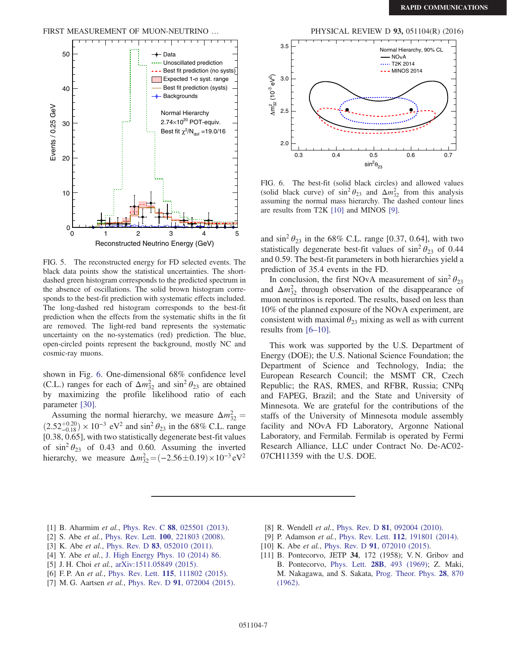## FIRST MEASUREMENT OF MUON-NEUTRINO ... PHYSICAL REVIEW D 93, 051104(R) (2016)

<span id="page-6-3"></span>

FIG. 5. The reconstructed energy for FD selected events. The black data points show the statistical uncertainties. The shortdashed green histogram corresponds to the predicted spectrum in the absence of oscillations. The solid brown histogram corresponds to the best-fit prediction with systematic effects included. The long-dashed red histogram corresponds to the best-fit prediction when the effects from the systematic shifts in the fit are removed. The light-red band represents the systematic uncertainty on the no-systematics (red) prediction. The blue, open-circled points represent the background, mostly NC and cosmic-ray muons.

shown in Fig. [6.](#page-6-5) One-dimensional 68% confidence level (C.L.) ranges for each of  $\Delta m_{32}^2$  and  $\sin^2 \theta_{23}$  are obtained by maximizing the profile likelihood ratio of each parameter [\[30\]](#page-7-14).

Assuming the normal hierarchy, we measure  $\Delta m_{32}^2 =$  $(2.52^{+0.20}_{-0.18}) \times 10^{-3}$  eV<sup>2</sup> and sin<sup>2</sup>  $\theta_{23}$  in the 68% C.L. range [0.38, 0.65], with two statistically degenerate best-fit values of  $\sin^2 \theta_{23}$  of 0.43 and 0.60. Assuming the inverted hierarchy, we measure  $\Delta m_{32}^2 = (-2.56 \pm 0.19) \times 10^{-3} \text{ eV}^2$ 

<span id="page-6-5"></span>

FIG. 6. The best-fit (solid black circles) and allowed values (solid black curve) of  $\sin^2 \theta_{23}$  and  $\Delta m_{32}^2$  from this analysis assuming the normal mass hierarchy. The dashed contour lines are results from T2K [\[10\]](#page-6-6) and MINOS [\[9\]](#page-6-7).

and  $\sin^2 \theta_{23}$  in the 68% C.L. range [0.37, 0.64], with two statistically degenerate best-fit values of  $\sin^2 \theta_{23}$  of 0.44 and 0.59. The best-fit parameters in both hierarchies yield a prediction of 35.4 events in the FD.

In conclusion, the first NOvA measurement of  $\sin^2 \theta_{23}$ and  $\Delta m_{32}^2$  through observation of the disappearance of muon neutrinos is reported. The results, based on less than 10% of the planned exposure of the NOvA experiment, are consistent with maximal  $\theta_{23}$  mixing as well as with current results from [6–[10\]](#page-6-2).

This work was supported by the U.S. Department of Energy (DOE); the U.S. National Science Foundation; the Department of Science and Technology, India; the European Research Council; the MSMT CR, Czech Republic; the RAS, RMES, and RFBR, Russia; CNPq and FAPEG, Brazil; and the State and University of Minnesota. We are grateful for the contributions of the staffs of the University of Minnesota module assembly facility and NOvA FD Laboratory, Argonne National Laboratory, and Fermilab. Fermilab is operated by Fermi Research Alliance, LLC under Contract No. De-AC02- 07CH11359 with the U.S. DOE.

- <span id="page-6-0"></span>[1] B. Aharmim et al., Phys. Rev. C 88[, 025501 \(2013\).](http://dx.doi.org/10.1103/PhysRevC.88.025501)
- [2] S. Abe et al., Phys. Rev. Lett. **100**[, 221803 \(2008\)](http://dx.doi.org/10.1103/PhysRevLett.100.221803).
- [3] K. Abe et al., Phys. Rev. D 83[, 052010 \(2011\).](http://dx.doi.org/10.1103/PhysRevD.83.052010)
- <span id="page-6-4"></span>[4] Y. Abe et al., [J. High Energy Phys. 10 \(2014\) 86.](http://dx.doi.org/10.1007/JHEP10(2014)086)
- [5] J. H. Choi et al., [arXiv:1511.05849 \(2015\).](http://arXiv.org/abs/1511.05849)
- <span id="page-6-2"></span>[6] F. P. An et al., Phys. Rev. Lett. **115**[, 111802 \(2015\).](http://dx.doi.org/10.1103/PhysRevLett.115.111802)
- [7] M. G. Aartsen et al., Phys. Rev. D 91[, 072004 \(2015\).](http://dx.doi.org/10.1103/PhysRevD.91.072004)
- [8] R. Wendell et al., Phys. Rev. D 81[, 092004 \(2010\)](http://dx.doi.org/10.1103/PhysRevD.81.092004).
- <span id="page-6-7"></span>[9] P. Adamson et al., Phys. Rev. Lett. **112**[, 191801 \(2014\).](http://dx.doi.org/10.1103/PhysRevLett.112.191801)
- <span id="page-6-6"></span>[10] K. Abe et al., Phys. Rev. D 91[, 072010 \(2015\).](http://dx.doi.org/10.1103/PhysRevD.91.072010)
- <span id="page-6-1"></span>[11] B. Pontecorvo, JETP 34, 172 (1958); V. N. Gribov and B. Pontecorvo, Phys. Lett. 28B[, 493 \(1969\)](http://dx.doi.org/10.1016/0370-2693(69)90525-5); Z. Maki, M. Nakagawa, and S. Sakata, [Prog. Theor. Phys.](http://dx.doi.org/10.1143/PTP.28.870) 28, 870 [\(1962\).](http://dx.doi.org/10.1143/PTP.28.870)